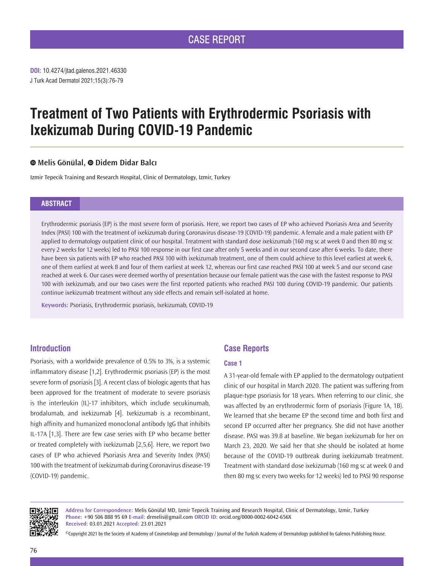**DOI:** 10.4274/jtad.galenos.2021.46330 J Turk Acad Dermatol 2021;15(3):76-79

# **Treatment of Two Patients with Erythrodermic Psoriasis with Ixekizumab During COVID-19 Pandemic**

# **Melis Gönülal,Didem Didar Balcı**

Izmir Tepecik Training and Research Hospital, Clinic of Dermatology, Izmir, Turkey

### **ABSTRACT**

Erythrodermic psoriasis (EP) is the most severe form of psoriasis. Here, we report two cases of EP who achieved Psoriasis Area and Severity Index (PASI) 100 with the treatment of ixekizumab during Coronavirus disease-19 (COVID-19) pandemic. A female and a male patient with EP applied to dermatology outpatient clinic of our hospital. Treatment with standard dose ixekizumab (160 mg sc at week 0 and then 80 mg sc every 2 weeks for 12 weeks) led to PASI 100 response in our first case after only 5 weeks and in our second case after 6 weeks. To date, there have been six patients with EP who reached PASI 100 with ixekizumab treatment, one of them could achieve to this level earliest at week 6, one of them earliest at week 8 and four of them earliest at week 12, whereas our first case reached PASI 100 at week 5 and our second case reached at week 6. Our cases were deemed worthy of presentation because our female patient was the case with the fastest response to PASI 100 with ixekizumab, and our two cases were the first reported patients who reached PASI 100 during COVID-19 pandemic. Our patients continue ixekizumab treatment without any side effects and remain self-isolated at home.

**Keywords:** Psoriasis, Erythrodermic psoriasis, Ixekizumab, COVID-19

## **Introduction**

Psoriasis, with a worldwide prevalence of 0.5% to 3%, is a systemic inflammatory disease [1,2]. Erythrodermic psoriasis (EP) is the most severe form of psoriasis [3]. A recent class of biologic agents that has been approved for the treatment of moderate to severe psoriasis is the interleukin (IL)-17 inhibitors, which include secukinumab, brodalumab, and ixekizumab [4]. Ixekizumab is a recombinant, high affinity and humanized monoclonal antibody IgG that inhibits IL-17A [1,3]. There are few case series with EP who became better or treated completely with ixekizumab [2,5,6]. Here, we report two cases of EP who achieved Psoriasis Area and Severity Index (PASI) 100 with the treatment of ixekizumab during Coronavirus disease-19 (COVID-19) pandemic.

# **Case Reports**

#### **Case 1**

A 31-year-old female with EP applied to the dermatology outpatient clinic of our hospital in March 2020. The patient was suffering from plaque-type psoriasis for 18 years. When referring to our clinic, she was affected by an erythrodermic form of psoriasis (Figure 1A, 1B). We learned that she became EP the second time and both first and second EP occurred after her pregnancy. She did not have another disease. PASI was 39.8 at baseline. We began ixekizumab for her on March 23, 2020. We said her that she should be isolated at home because of the COVID-19 outbreak during ixekizumab treatment. Treatment with standard dose ixekizumab (160 mg sc at week 0 and then 80 mg sc every two weeks for 12 weeks) led to PASI 90 response



**Address for Correspondence:** Melis Gönülal MD, Izmir Tepecik Training and Research Hospital, Clinic of Dermatology, Izmir, Turkey **Phone:** +90 506 888 95 69 **E-mail:** drmelis@gmail.com **ORCID ID:** orcid.org/0000-0002-6042-656X **Received:** 03.01.2021 **Accepted:** 23.01.2021

©Copyright 2021 by the Society of Academy of Cosmetology and Dermatology / Journal of the Turkish Academy of Dermatology published by Galenos Publishing House.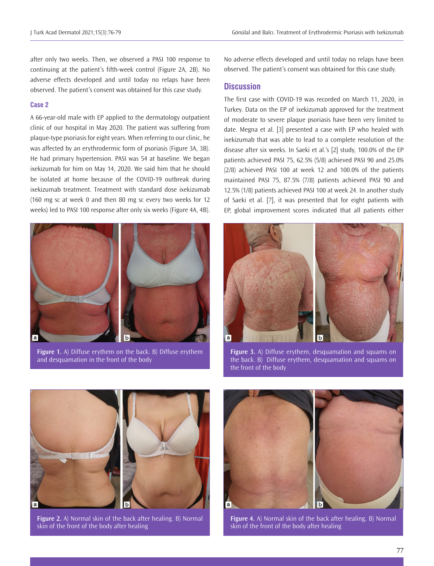after only two weeks. Then, we observed a PASI 100 response to continuing at the patient's fifth-week control (Figure 2A, 2B). No adverse effects developed and until today no relaps have been observed. The patient's consent was obtained for this case study.

#### **Case 2**

A 66-year-old male with EP applied to the dermatology outpatient clinic of our hospital in May 2020. The patient was suffering from plaque-type psoriasis for eight years. When referring to our clinic, he was affected by an erythrodermic form of psoriasis (Figure 3A, 3B). He had primary hypertension. PASI was 54 at baseline. We began ixekizumab for him on May 14, 2020. We said him that he should be isolated at home because of the COVID-19 outbreak during ixekizumab treatment. Treatment with standard dose ixekizumab (160 mg sc at week 0 and then 80 mg sc every two weeks for 12 weeks) led to PASI 100 response after only six weeks (Figure 4A, 4B).



**Figure 1.** A) Diffuse erythem on the back. B) Diffuse erythem and desquamation in the front of the body

No adverse effects developed and until today no relaps have been observed. The patient's consent was obtained for this case study.

## **Discussion**

The first case with COVID-19 was recorded on March 11, 2020, in Turkey. Data on the EP of ixekizumab approved for the treatment of moderate to severe plaque psoriasis have been very limited to date. Megna et al. [3] presented a case with EP who healed with ixekizumab that was able to lead to a complete resolution of the disease after six weeks. In Saeki et al.'s [2] study, 100.0% of the EP patients achieved PASI 75, 62.5% (5/8) achieved PASI 90 and 25.0% (2/8) achieved PASI 100 at week 12 and 100.0% of the patients maintained PASI 75, 87.5% (7/8) patients achieved PASI 90 and 12.5% (1/8) patients achieved PASI 100 at week 24. In another study of Saeki et al. [7], it was presented that for eight patients with EP, global improvement scores indicated that all patients either



**Figure 3.** A) Diffuse erythem, desquamation and squams on the back. B) Diffuse erythem, desquamation and squams on the front of the body



**Figure 2.** A) Normal skin of the back after healing. B) Normal skin of the front of the body after healing



**Figure 4.** A) Normal skin of the back after healing. B) Normal skin of the front of the body after healing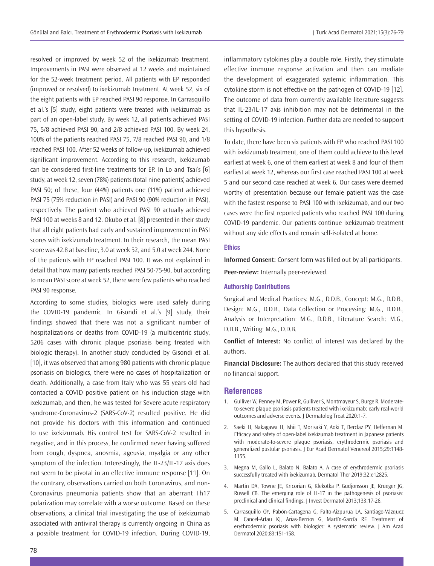resolved or improved by week 52 of the ixekizumab treatment. Improvements in PASI were observed at 12 weeks and maintained for the 52-week treatment period. All patients with EP responded (improved or resolved) to ixekizumab treatment. At week 52, six of the eight patients with EP reached PASI 90 response. In Carrasquillo et al.'s [5] study, eight patients were treated with ixekizumab as part of an open-label study. By week 12, all patients achieved PASI 75, 5/8 achieved PASI 90, and 2/8 achieved PASI 100. By week 24, 100% of the patients reached PASI 75, 7/8 reached PASI 90, and 1/8 reached PASI 100. After 52 weeks of follow-up, ixekizumab achieved significant improvement. According to this research, ixekizumab can be considered first-line treatments for EP. In Lo and Tsai's [6] study, at week 12, seven (78%) patients (total nine patients) achieved PASI 50; of these, four (44%) patients one (11%) patient achieved PASI 75 (75% reduction in PASI) and PASI 90 (90% reduction in PASI), respectively. The patient who achieved PASI 90 actually achieved PASI 100 at weeks 8 and 12. Okubo et al. [8] presented in their study that all eight patients had early and sustained improvement in PASI scores with ixekizumab treatment. In their research, the mean PASI score was 42.8 at baseline, 3.0 at week 52, and 5.0 at week 244. None of the patients with EP reached PASI 100. It was not explained in detail that how many patients reached PASI 50-75-90, but according to mean PASI score at week 52, there were few patients who reached PASI 90 response.

According to some studies, biologics were used safely during the COVID-19 pandemic. In Gisondi et al.'s [9] study, their findings showed that there was not a significant number of hospitalizations or deaths from COVID-19 (a multicentric study, 5206 cases with chronic plaque psoriasis being treated with biologic therapy). In another study conducted by Gisondi et al. [10], it was observed that among 980 patients with chronic plaque psoriasis on biologics, there were no cases of hospitalization or death. Additionally, a case from Italy who was 55 years old had contacted a COVID positive patient on his induction stage with ixekizumab, and then, he was tested for Severe acute respiratory syndrome-Coronavirus-2 (SARS-CoV-2) resulted positive. He did not provide his doctors with this information and continued to use ixekizumab. His control test for SARS-CoV-2 resulted in negative, and in this process, he confirmed never having suffered from cough, dyspnea, anosmia, ageusia, myalgia or any other symptom of the infection. Interestingly, the IL-23/IL-17 axis does not seem to be pivotal in an effective immune response [11]. On the contrary, observations carried on both Coronavirus, and non-Coronavirus pneumonia patients show that an aberrant Th17 polarization may correlate with a worse outcome. Based on these observations, a clinical trial investigating the use of ixekizumab associated with antiviral therapy is currently ongoing in China as a possible treatment for COVID-19 infection. During COVID-19,

inflammatory cytokines play a double role. Firstly, they stimulate effective immune response activation and then can mediate the development of exaggerated systemic inflammation. This cytokine storm is not effective on the pathogen of COVID-19 [12]. The outcome of data from currently available literature suggests that IL-23/IL-17 axis inhibition may not be detrimental in the setting of COVID-19 infection. Further data are needed to support this hypothesis.

To date, there have been six patients with EP who reached PASI 100 with ixekizumab treatment, one of them could achieve to this level earliest at week 6, one of them earliest at week 8 and four of them earliest at week 12, whereas our first case reached PASI 100 at week 5 and our second case reached at week 6. Our cases were deemed worthy of presentation because our female patient was the case with the fastest response to PASI 100 with ixekizumab, and our two cases were the first reported patients who reached PASI 100 during COVID-19 pandemic. Our patients continue ixekizumab treatment without any side effects and remain self-isolated at home.

#### **Ethics**

**Informed Consent:** Consent form was filled out by all participants. **Peer-review:** Internally peer-reviewed.

#### **Authorship Contributions**

Surgical and Medical Practices: M.G., D.D.B., Concept: M.G., D.D.B., Design: M.G., D.D.B., Data Collection or Processing: M.G., D.D.B., Analysis or Interpretation: M.G., D.D.B., Literature Search: M.G., D.D.B., Writing: M.G., D.D.B.

**Conflict of Interest:** No conflict of interest was declared by the authors.

**Financial Disclosure:** The authors declared that this study received no financial support.

#### **References**

- 1. Gulliver W, Penney M, Power R, Gulliver S, Montmayeur S, Burge R. Moderateto-severe plaque psoriasis patients treated with ixekizumab: early real-world outcomes and adverse events. J Dermatolog Treat 2020:1-7.
- 2. Saeki H, Nakagawa H, Ishii T, Morisaki Y, Aoki T, Berclaz PY, Heffernan M. Efficacy and safety of open-label ixekizumab treatment in Japanese patients with moderate-to-severe plaque psoriasis, erythrodermic psoriasis and generalized pustular psoriasis. J Eur Acad Dermatol Venereol 2015;29:1148- 1155.
- 3. Megna M, Gallo L, Balato N, Balato A. A case of erythrodermic psoriasis successfully treated with ixekizumab. Dermatol Ther 2019;32:e12825.
- 4. Martin DA, Towne JE, Kricorian G, Klekotka P, Gudjonsson JE, Krueger JG, Russell CB. The emerging role of IL-17 in the pathogenesis of psoriasis: preclinical and clinical findings. J Invest Dermatol 2013;133:17-26.
- 5. Carrasquillo OY, Pabón-Cartagena G, Falto-Aizpurua LA, Santiago-Vázquez M, Cancel-Artau KJ, Arias-Berrios G, Martín-García RF. Treatment of erythrodermic psoriasis with biologics: A systematic review. J Am Acad Dermatol 2020;83:151-158.